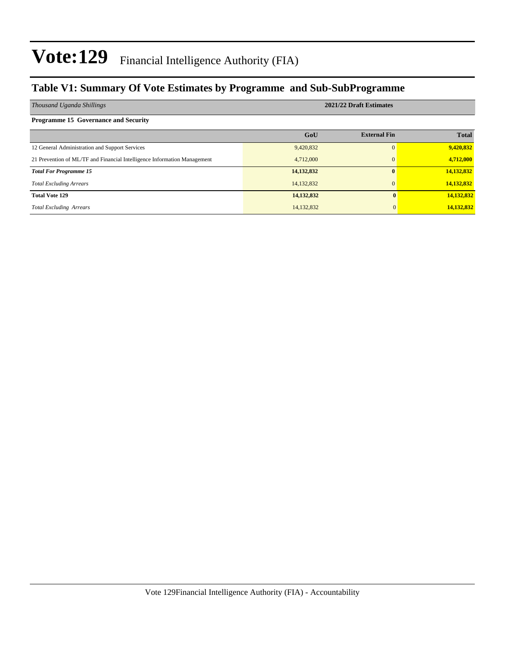### **Table V1: Summary Of Vote Estimates by Programme and Sub-SubProgramme**

| Thousand Uganda Shillings                                                | 2021/22 Draft Estimates |                     |              |  |  |
|--------------------------------------------------------------------------|-------------------------|---------------------|--------------|--|--|
| <b>Programme 15 Governance and Security</b>                              |                         |                     |              |  |  |
|                                                                          | GoU                     | <b>External Fin</b> | <b>Total</b> |  |  |
| 12 General Administration and Support Services                           | 9,420,832               | $\Omega$            | 9,420,832    |  |  |
| 21 Prevention of ML/TF and Financial Intelligence Information Management | 4,712,000               | $\Omega$            | 4,712,000    |  |  |
| <b>Total For Programme 15</b>                                            | 14, 132, 832            | 0                   | 14,132,832   |  |  |
| <b>Total Excluding Arrears</b>                                           | 14,132,832              | $\Omega$            | 14,132,832   |  |  |
| <b>Total Vote 129</b>                                                    | 14,132,832              |                     | 14,132,832   |  |  |
| <b>Total Excluding Arrears</b>                                           | 14,132,832              |                     | 14,132,832   |  |  |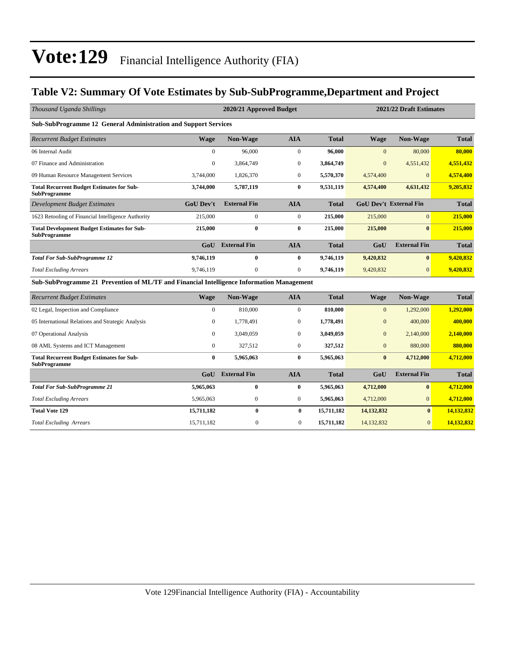### **Table V2: Summary Of Vote Estimates by Sub-SubProgramme,Department and Project**

| Thousand Uganda Shillings                                                                 |                  | 2021/22 Draft Estimates<br>2020/21 Approved Budget |                  |              |                |                               |              |
|-------------------------------------------------------------------------------------------|------------------|----------------------------------------------------|------------------|--------------|----------------|-------------------------------|--------------|
| Sub-SubProgramme 12 General Administration and Support Services                           |                  |                                                    |                  |              |                |                               |              |
| <b>Recurrent Budget Estimates</b>                                                         | <b>Wage</b>      | <b>Non-Wage</b>                                    | <b>AIA</b>       | <b>Total</b> | <b>Wage</b>    | <b>Non-Wage</b>               | <b>Total</b> |
| 06 Internal Audit                                                                         | $\Omega$         | 96,000                                             | $\mathbf{0}$     | 96,000       | $\Omega$       | 80,000                        | 80,000       |
| 07 Finance and Administration                                                             | $\mathbf{0}$     | 3,864,749                                          | $\boldsymbol{0}$ | 3,864,749    | $\overline{0}$ | 4,551,432                     | 4,551,432    |
| 09 Human Resource Management Services                                                     | 3,744,000        | 1,826,370                                          | $\mathbf{0}$     | 5,570,370    | 4,574,400      | $\overline{0}$                | 4,574,400    |
| <b>Total Recurrent Budget Estimates for Sub-</b><br><b>SubProgramme</b>                   | 3,744,000        | 5,787,119                                          | $\bf{0}$         | 9,531,119    | 4,574,400      | 4,631,432                     | 9,205,832    |
| <b>Development Budget Estimates</b>                                                       | <b>GoU Dev't</b> | <b>External Fin</b>                                | <b>AIA</b>       | <b>Total</b> |                | <b>GoU Dev't External Fin</b> | <b>Total</b> |
| 1623 Retooling of Financial Intelligence Authority                                        | 215,000          | $\mathbf{0}$                                       | $\mathbf{0}$     | 215,000      | 215,000        | $\overline{0}$                | 215,000      |
| <b>Total Development Budget Estimates for Sub-</b><br><b>SubProgramme</b>                 | 215,000          | $\bf{0}$                                           | $\bf{0}$         | 215,000      | 215,000        | $\mathbf{0}$                  | 215,000      |
|                                                                                           | GoU              | <b>External Fin</b>                                | <b>AIA</b>       | <b>Total</b> | GoU            | <b>External Fin</b>           | <b>Total</b> |
| <b>Total For Sub-SubProgramme 12</b>                                                      | 9,746,119        | $\bf{0}$                                           | $\bf{0}$         | 9,746,119    | 9,420,832      | $\mathbf{0}$                  | 9,420,832    |
| <b>Total Excluding Arrears</b>                                                            | 9,746,119        | $\boldsymbol{0}$                                   | $\boldsymbol{0}$ | 9,746,119    | 9,420,832      | $\overline{0}$                | 9,420,832    |
| Sub-SubProgramme 21 Prevention of ML/TF and Financial Intelligence Information Management |                  |                                                    |                  |              |                |                               |              |
| <b>Recurrent Budget Estimates</b>                                                         | <b>Wage</b>      | Non-Wage                                           | <b>AIA</b>       | <b>Total</b> | <b>Wage</b>    | Non-Wage                      | <b>Total</b> |
| 02 Legal, Inspection and Compliance                                                       | $\mathbf{0}$     | 810,000                                            | $\mathbf{0}$     | 810,000      | $\mathbf{0}$   | 1,292,000                     | 1,292,000    |
| 05 International Relations and Strategic Analysis                                         | $\mathbf{0}$     | 1,778,491                                          | $\mathbf{0}$     | 1,778,491    | $\Omega$       | 400,000                       | 400,000      |
| 07 Operational Analysis                                                                   | $\Omega$         | 3,049,059                                          | $\mathbf{0}$     | 3,049,059    | $\overline{0}$ | 2,140,000                     | 2,140,000    |
| 08 AML Systems and ICT Management                                                         | $\mathbf{0}$     | 327,512                                            | $\mathbf{0}$     | 327,512      | $\overline{0}$ | 880,000                       | 880,000      |
| <b>Total Recurrent Budget Estimates for Sub-</b><br><b>SubProgramme</b>                   | $\bf{0}$         | 5,965,063                                          | $\bf{0}$         | 5,965,063    | $\bf{0}$       | 4,712,000                     | 4,712,000    |
|                                                                                           | GoU              | <b>External Fin</b>                                | <b>AIA</b>       | <b>Total</b> | GoU            | <b>External Fin</b>           | <b>Total</b> |
| <b>Total For Sub-SubProgramme 21</b>                                                      | 5,965,063        | $\bf{0}$                                           | $\bf{0}$         | 5,965,063    | 4,712,000      | $\bf{0}$                      | 4,712,000    |
| <b>Total Excluding Arrears</b>                                                            | 5,965,063        | $\boldsymbol{0}$                                   | $\boldsymbol{0}$ | 5,965,063    | 4,712,000      | $\overline{0}$                | 4,712,000    |
| <b>Total Vote 129</b>                                                                     | 15,711,182       | $\bf{0}$                                           | $\bf{0}$         | 15,711,182   | 14,132,832     | $\bf{0}$                      | 14,132,832   |

*Total Excluding Arrears* 15,711,182 0 0 **15,711,182** 14,132,832 0 **14,132,832**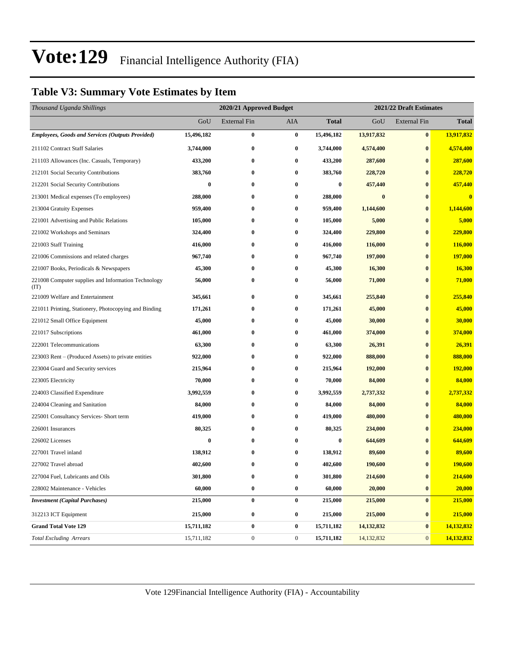### **Table V3: Summary Vote Estimates by Item**

| Thousand Uganda Shillings                                   |            | 2020/21 Approved Budget<br>2021/22 Draft Estimates |                |                  |              |                     |                         |
|-------------------------------------------------------------|------------|----------------------------------------------------|----------------|------------------|--------------|---------------------|-------------------------|
|                                                             | GoU        | <b>External Fin</b>                                | AIA            | <b>Total</b>     | GoU          | <b>External Fin</b> | <b>Total</b>            |
| <b>Employees, Goods and Services (Outputs Provided)</b>     | 15,496,182 | $\bf{0}$                                           | $\bf{0}$       | 15,496,182       | 13,917,832   | $\bf{0}$            | 13,917,832              |
| 211102 Contract Staff Salaries                              | 3,744,000  | $\bf{0}$                                           | $\bf{0}$       | 3,744,000        | 4,574,400    | $\bf{0}$            | 4,574,400               |
| 211103 Allowances (Inc. Casuals, Temporary)                 | 433,200    | $\bf{0}$                                           | $\bf{0}$       | 433,200          | 287,600      | $\bf{0}$            | 287,600                 |
| 212101 Social Security Contributions                        | 383,760    | $\bf{0}$                                           | $\bf{0}$       | 383,760          | 228,720      | $\bf{0}$            | 228,720                 |
| 212201 Social Security Contributions                        | $\bf{0}$   | $\bf{0}$                                           | 0              | $\bf{0}$         | 457,440      | $\bf{0}$            | 457,440                 |
| 213001 Medical expenses (To employees)                      | 288,000    | $\bf{0}$                                           | $\bf{0}$       | 288,000          | $\bf{0}$     | $\bf{0}$            | $\overline{\mathbf{0}}$ |
| 213004 Gratuity Expenses                                    | 959,400    | $\bf{0}$                                           | 0              | 959,400          | 1,144,600    | $\bf{0}$            | 1,144,600               |
| 221001 Advertising and Public Relations                     | 105,000    | $\bf{0}$                                           | $\bf{0}$       | 105,000          | 5,000        | $\bf{0}$            | 5,000                   |
| 221002 Workshops and Seminars                               | 324,400    | $\bf{0}$                                           | $\bf{0}$       | 324,400          | 229,800      | $\bf{0}$            | 229,800                 |
| 221003 Staff Training                                       | 416,000    | $\bf{0}$                                           | 0              | 416,000          | 116,000      | $\bf{0}$            | 116,000                 |
| 221006 Commissions and related charges                      | 967,740    | $\bf{0}$                                           | $\bf{0}$       | 967,740          | 197,000      | $\bf{0}$            | 197,000                 |
| 221007 Books, Periodicals & Newspapers                      | 45,300     | $\bf{0}$                                           | 0              | 45,300           | 16,300       | $\bf{0}$            | 16,300                  |
| 221008 Computer supplies and Information Technology<br>(TT) | 56,000     | $\bf{0}$                                           | 0              | 56,000           | 71,000       | $\bf{0}$            | 71,000                  |
| 221009 Welfare and Entertainment                            | 345,661    | $\bf{0}$                                           | 0              | 345,661          | 255,840      | $\bf{0}$            | 255,840                 |
| 221011 Printing, Stationery, Photocopying and Binding       | 171,261    | $\bf{0}$                                           | $\bf{0}$       | 171,261          | 45,000       | $\bf{0}$            | 45,000                  |
| 221012 Small Office Equipment                               | 45,000     | $\bf{0}$                                           | 0              | 45,000           | 30,000       | $\bf{0}$            | 30,000                  |
| 221017 Subscriptions                                        | 461,000    | $\bf{0}$                                           | 0              | 461,000          | 374,000      | $\bf{0}$            | 374,000                 |
| 222001 Telecommunications                                   | 63,300     | $\bf{0}$                                           | $\bf{0}$       | 63,300           | 26,391       | $\bf{0}$            | 26,391                  |
| 223003 Rent – (Produced Assets) to private entities         | 922,000    | $\bf{0}$                                           | $\bf{0}$       | 922,000          | 888,000      | $\bf{0}$            | 888,000                 |
| 223004 Guard and Security services                          | 215,964    | $\bf{0}$                                           | $\bf{0}$       | 215,964          | 192,000      | $\bf{0}$            | 192,000                 |
| 223005 Electricity                                          | 70,000     | $\bf{0}$                                           | 0              | 70,000           | 84,000       | $\bf{0}$            | 84,000                  |
| 224003 Classified Expenditure                               | 3,992,559  | $\bf{0}$                                           | $\bf{0}$       | 3,992,559        | 2,737,332    | $\bf{0}$            | 2,737,332               |
| 224004 Cleaning and Sanitation                              | 84,000     | $\bf{0}$                                           | $\bf{0}$       | 84,000           | 84,000       | $\bf{0}$            | 84,000                  |
| 225001 Consultancy Services- Short term                     | 419,000    | $\bf{0}$                                           | $\bf{0}$       | 419,000          | 480,000      | $\bf{0}$            | 480,000                 |
| 226001 Insurances                                           | 80,325     | $\bf{0}$                                           | $\bf{0}$       | 80,325           | 234,000      | $\bf{0}$            | 234,000                 |
| 226002 Licenses                                             | $\bf{0}$   | $\bf{0}$                                           | 0              | $\boldsymbol{0}$ | 644,609      | $\bf{0}$            | 644,609                 |
| 227001 Travel inland                                        | 138,912    | $\bf{0}$                                           | 0              | 138,912          | 89,600       | $\bf{0}$            | 89,600                  |
| 227002 Travel abroad                                        | 402,600    | $\bf{0}$                                           | 0              | 402,600          | 190,600      | $\bf{0}$            | 190,600                 |
| 227004 Fuel, Lubricants and Oils                            | 301,800    | $\bf{0}$                                           | $\pmb{0}$      | 301,800          | 214,600      | $\bf{0}$            | 214,600                 |
| 228002 Maintenance - Vehicles                               | 60,000     | $\pmb{0}$                                          | $\bf{0}$       | 60,000           | 20,000       | $\bf{0}$            | 20,000                  |
| <b>Investment</b> (Capital Purchases)                       | 215,000    | $\bf{0}$                                           | $\bf{0}$       | 215,000          | 215,000      | $\vert 0 \vert$     | 215,000                 |
| 312213 ICT Equipment                                        | 215,000    | $\bf{0}$                                           | $\bf{0}$       | 215,000          | 215,000      | $\bf{0}$            | 215,000                 |
| <b>Grand Total Vote 129</b>                                 | 15,711,182 | $\bf{0}$                                           | $\bf{0}$       | 15,711,182       | 14, 132, 832 | $\bf{0}$            | 14,132,832              |
| <b>Total Excluding Arrears</b>                              | 15,711,182 | $\boldsymbol{0}$                                   | $\overline{0}$ | 15,711,182       | 14,132,832   | 0                   | 14,132,832              |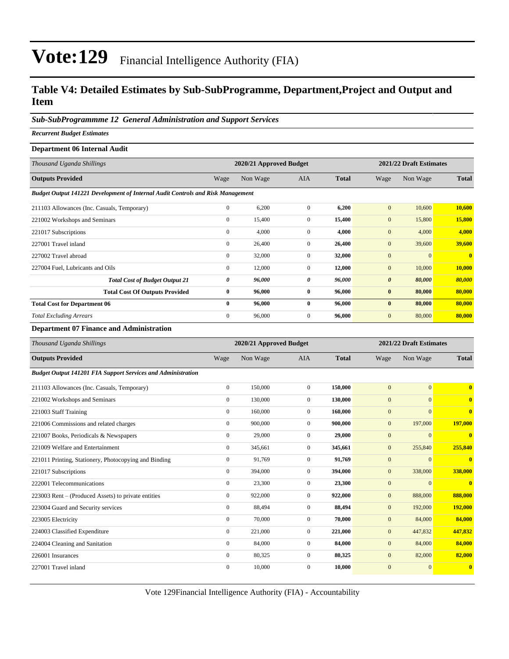### **Table V4: Detailed Estimates by Sub-SubProgramme, Department,Project and Output and Item**

#### *Sub-SubProgrammme 12 General Administration and Support Services*

*Recurrent Budget Estimates*

#### **Department 06 Internal Audit**

| 2020/21 Approved Budget |          |                                                                                        |              | 2021/22 Draft Estimates |                |              |
|-------------------------|----------|----------------------------------------------------------------------------------------|--------------|-------------------------|----------------|--------------|
| Wage                    | Non Wage | <b>AIA</b>                                                                             | <b>Total</b> | Wage                    | Non Wage       | <b>Total</b> |
|                         |          |                                                                                        |              |                         |                |              |
| $\mathbf{0}$            | 6,200    | $\Omega$                                                                               | 6,200        | $\mathbf{0}$            | 10,600         | 10,600       |
| $\mathbf{0}$            | 15,400   | $\overline{0}$                                                                         | 15,400       | $\mathbf{0}$            | 15,800         | 15,800       |
| $\mathbf{0}$            | 4,000    | $\mathbf{0}$                                                                           | 4,000        | $\mathbf{0}$            | 4,000          | 4,000        |
| $\mathbf{0}$            | 26,400   | $\Omega$                                                                               | 26,400       | $\mathbf{0}$            | 39,600         | 39,600       |
| $\mathbf{0}$            | 32,000   | $\mathbf{0}$                                                                           | 32,000       | $\mathbf{0}$            | $\overline{0}$ | $\mathbf{0}$ |
| $\mathbf{0}$            | 12,000   | $\mathbf{0}$                                                                           | 12,000       | $\mathbf{0}$            | 10,000         | 10,000       |
| 0                       | 96,000   | 0                                                                                      | 96,000       | $\boldsymbol{\theta}$   | 80,000         | 80,000       |
| $\bf{0}$                | 96,000   | $\bf{0}$                                                                               | 96,000       | $\bf{0}$                | 80,000         | 80,000       |
| $\bf{0}$                | 96,000   | $\mathbf{0}$                                                                           | 96,000       | $\bf{0}$                | 80,000         | 80,000       |
| $\mathbf{0}$            | 96,000   | $\overline{0}$                                                                         | 96,000       | $\mathbf{0}$            | 80,000         | 80,000       |
|                         |          | <b>Budget Output 141221 Development of Internal Audit Controls and Risk Management</b> |              |                         |                |              |

#### **Department 07 Finance and Administration**

| Thousand Uganda Shillings                                           |                  | 2020/21 Approved Budget |                |              | 2021/22 Draft Estimates |              |              |
|---------------------------------------------------------------------|------------------|-------------------------|----------------|--------------|-------------------------|--------------|--------------|
| <b>Outputs Provided</b>                                             | Wage             | Non Wage                | <b>AIA</b>     | <b>Total</b> | Wage                    | Non Wage     | <b>Total</b> |
| <b>Budget Output 141201 FIA Support Services and Administration</b> |                  |                         |                |              |                         |              |              |
| 211103 Allowances (Inc. Casuals, Temporary)                         | $\boldsymbol{0}$ | 150,000                 | $\mathbf{0}$   | 150,000      | $\mathbf{0}$            | $\mathbf{0}$ | $\bf{0}$     |
| 221002 Workshops and Seminars                                       | $\mathbf{0}$     | 130,000                 | $\Omega$       | 130,000      | $\boldsymbol{0}$        | $\mathbf{0}$ | $\bf{0}$     |
| 221003 Staff Training                                               | $\overline{0}$   | 160,000                 | $\overline{0}$ | 160,000      | $\boldsymbol{0}$        | $\Omega$     | $\bf{0}$     |
| 221006 Commissions and related charges                              | $\overline{0}$   | 900,000                 | $\mathbf{0}$   | 900,000      | $\mathbf{0}$            | 197,000      | 197,000      |
| 221007 Books, Periodicals & Newspapers                              | $\overline{0}$   | 29,000                  | $\overline{0}$ | 29,000       | $\boldsymbol{0}$        | $\mathbf{0}$ | $\bf{0}$     |
| 221009 Welfare and Entertainment                                    | $\mathbf{0}$     | 345,661                 | $\overline{0}$ | 345,661      | $\mathbf{0}$            | 255,840      | 255,840      |
| 221011 Printing, Stationery, Photocopying and Binding               | $\overline{0}$   | 91.769                  | $\mathbf{0}$   | 91.769       | $\mathbf{0}$            | $\mathbf{0}$ | $\bf{0}$     |
| 221017 Subscriptions                                                | $\mathbf{0}$     | 394,000                 | $\mathbf{0}$   | 394,000      | $\boldsymbol{0}$        | 338,000      | 338,000      |
| 222001 Telecommunications                                           | $\mathbf{0}$     | 23,300                  | $\overline{0}$ | 23,300       | $\mathbf{0}$            | $\mathbf{0}$ | $\bf{0}$     |
| 223003 Rent – (Produced Assets) to private entities                 | $\overline{0}$   | 922,000                 | $\overline{0}$ | 922,000      | $\mathbf{0}$            | 888,000      | 888,000      |
| 223004 Guard and Security services                                  | $\overline{0}$   | 88,494                  | $\mathbf{0}$   | 88,494       | $\mathbf{0}$            | 192,000      | 192,000      |
| 223005 Electricity                                                  | $\mathbf{0}$     | 70,000                  | $\mathbf{0}$   | 70,000       | $\overline{0}$          | 84,000       | 84,000       |
| 224003 Classified Expenditure                                       | $\mathbf{0}$     | 221,000                 | $\overline{0}$ | 221,000      | $\mathbf{0}$            | 447,832      | 447,832      |
| 224004 Cleaning and Sanitation                                      | $\overline{0}$   | 84,000                  | $\mathbf{0}$   | 84,000       | $\mathbf{0}$            | 84,000       | 84,000       |
| 226001 Insurances                                                   | $\mathbf{0}$     | 80,325                  | $\overline{0}$ | 80,325       | $\mathbf{0}$            | 82,000       | 82,000       |
| 227001 Travel inland                                                | $\boldsymbol{0}$ | 10,000                  | $\overline{0}$ | 10,000       | $\boldsymbol{0}$        | $\mathbf{0}$ | $\bf{0}$     |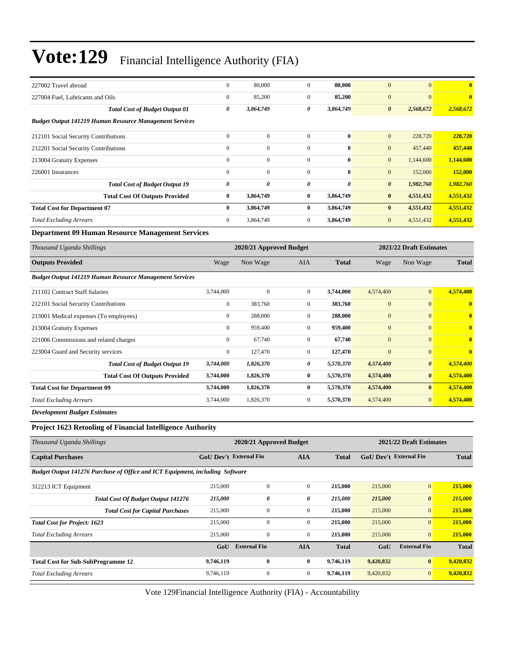| 227002 Travel abroad                                                          | $\boldsymbol{0}$              | 80,000                  | $\mathbf{0}$     | 80,000       | $\mathbf{0}$          | $\mathbf{0}$            | $\bf{0}$     |
|-------------------------------------------------------------------------------|-------------------------------|-------------------------|------------------|--------------|-----------------------|-------------------------|--------------|
| 227004 Fuel, Lubricants and Oils                                              | $\boldsymbol{0}$              | 85,200                  | $\boldsymbol{0}$ | 85,200       | $\boldsymbol{0}$      | $\mathbf{0}$            | $\bf{0}$     |
| <b>Total Cost of Budget Output 01</b>                                         | 0                             | 3,864,749               | 0                | 3,864,749    | $\boldsymbol{\theta}$ | 2,568,672               | 2,568,672    |
| <b>Budget Output 141219 Human Resource Management Services</b>                |                               |                         |                  |              |                       |                         |              |
| 212101 Social Security Contributions                                          | $\mathbf{0}$                  | $\boldsymbol{0}$        | $\boldsymbol{0}$ | $\bf{0}$     | $\mathbf{0}$          | 228,720                 | 228,720      |
| 212201 Social Security Contributions                                          | $\boldsymbol{0}$              | $\mathbf{0}$            | $\boldsymbol{0}$ | $\bf{0}$     | $\mathbf{0}$          | 457,440                 | 457,440      |
| 213004 Gratuity Expenses                                                      | $\mathbf{0}$                  | $\boldsymbol{0}$        | $\boldsymbol{0}$ | $\bf{0}$     | $\mathbf{0}$          | 1,144,600               | 1,144,600    |
| 226001 Insurances                                                             | $\mathbf{0}$                  | $\mathbf{0}$            | $\boldsymbol{0}$ | $\bf{0}$     | $\mathbf{0}$          | 152,000                 | 152,000      |
| <b>Total Cost of Budget Output 19</b>                                         | 0                             | 0                       | 0                | 0            | $\boldsymbol{\theta}$ | 1,982,760               | 1,982,760    |
| <b>Total Cost Of Outputs Provided</b>                                         | $\bf{0}$                      | 3,864,749               | 0                | 3,864,749    | $\bf{0}$              | 4,551,432               | 4,551,432    |
| <b>Total Cost for Department 07</b>                                           | $\bf{0}$                      | 3,864,749               | $\bf{0}$         | 3,864,749    | $\bf{0}$              | 4,551,432               | 4,551,432    |
| <b>Total Excluding Arrears</b>                                                | $\mathbf{0}$                  | 3,864,749               | $\boldsymbol{0}$ | 3,864,749    | $\mathbf{0}$          | 4,551,432               | 4,551,432    |
| <b>Department 09 Human Resource Management Services</b>                       |                               |                         |                  |              |                       |                         |              |
| Thousand Uganda Shillings                                                     |                               | 2020/21 Approved Budget |                  |              |                       | 2021/22 Draft Estimates |              |
| <b>Outputs Provided</b>                                                       | Wage                          | Non Wage                | AIA              | <b>Total</b> | Wage                  | Non Wage                | <b>Total</b> |
| <b>Budget Output 141219 Human Resource Management Services</b>                |                               |                         |                  |              |                       |                         |              |
| 211102 Contract Staff Salaries                                                | 3,744,000                     | $\mathbf{0}$            | $\boldsymbol{0}$ | 3,744,000    | 4,574,400             | $\overline{0}$          | 4,574,400    |
| 212101 Social Security Contributions                                          | $\boldsymbol{0}$              | 383,760                 | $\boldsymbol{0}$ | 383,760      | $\mathbf{0}$          | $\boldsymbol{0}$        | $\bf{0}$     |
| 213001 Medical expenses (To employees)                                        | $\boldsymbol{0}$              | 288,000                 | $\boldsymbol{0}$ | 288,000      | $\boldsymbol{0}$      | $\mathbf{0}$            | $\bf{0}$     |
| 213004 Gratuity Expenses                                                      | $\boldsymbol{0}$              | 959,400                 | $\boldsymbol{0}$ | 959,400      | $\mathbf{0}$          | $\overline{0}$          | $\bf{0}$     |
| 221006 Commissions and related charges                                        | $\boldsymbol{0}$              | 67,740                  | $\boldsymbol{0}$ | 67,740       | $\mathbf{0}$          | $\boldsymbol{0}$        | $\bf{0}$     |
| 223004 Guard and Security services                                            | $\boldsymbol{0}$              | 127,470                 | $\boldsymbol{0}$ | 127,470      | $\overline{0}$        | $\boldsymbol{0}$        | $\bf{0}$     |
| <b>Total Cost of Budget Output 19</b>                                         | 3,744,000                     | 1,826,370               | 0                | 5,570,370    | 4,574,400             | $\boldsymbol{\theta}$   | 4,574,400    |
| <b>Total Cost Of Outputs Provided</b>                                         | 3,744,000                     | 1,826,370               | 0                | 5,570,370    | 4,574,400             | $\bf{0}$                | 4,574,400    |
| <b>Total Cost for Department 09</b>                                           | 3,744,000                     | 1,826,370               | $\bf{0}$         | 5,570,370    | 4,574,400             | $\bf{0}$                | 4,574,400    |
| <b>Total Excluding Arrears</b>                                                | 3,744,000                     | 1,826,370               | $\boldsymbol{0}$ | 5,570,370    | 4,574,400             | $\mathbf{0}$            | 4,574,400    |
| <b>Development Budget Estimates</b>                                           |                               |                         |                  |              |                       |                         |              |
| <b>Project 1623 Retooling of Financial Intelligence Authority</b>             |                               |                         |                  |              |                       |                         |              |
| Thousand Uganda Shillings                                                     |                               | 2020/21 Approved Budget |                  |              |                       | 2021/22 Draft Estimates |              |
| <b>Capital Purchases</b>                                                      | <b>GoU Dev't External Fin</b> |                         | <b>AIA</b>       | <b>Total</b> |                       | GoU Dev't External Fin  | <b>Total</b> |
| Budget Output 141276 Purchase of Office and ICT Equipment, including Software |                               |                         |                  |              |                       |                         |              |
| 312213 ICT Equipment                                                          | 215,000                       | $\boldsymbol{0}$        | $\boldsymbol{0}$ | 215,000      | 215,000               | $\mathbf{0}$            | 215,000      |
| <b>Total Cost Of Budget Output 141276</b>                                     | 215,000                       | 0                       | 0                | 215,000      | 215,000               | $\pmb{\theta}$          | 215,000      |
| <b>Total Cost for Capital Purchases</b>                                       | 215,000                       | $\boldsymbol{0}$        | $\boldsymbol{0}$ | 215,000      | 215,000               | $\mathbf{0}$            | 215,000      |
| <b>Total Cost for Project: 1623</b>                                           | 215,000                       | $\boldsymbol{0}$        | $\boldsymbol{0}$ | 215,000      | 215,000               | $\mathbf{0}$            | 215,000      |
| <b>Total Excluding Arrears</b>                                                | 215,000                       | $\boldsymbol{0}$        | $\boldsymbol{0}$ | 215,000      | 215,000               | $\mathbf{0}$            | 215,000      |
|                                                                               | GoU                           | <b>External Fin</b>     | <b>AIA</b>       | <b>Total</b> | GoU                   | <b>External Fin</b>     | <b>Total</b> |
| <b>Total Cost for Sub-SubProgramme 12</b>                                     | 9,746,119                     | $\bf{0}$                | $\bf{0}$         | 9,746,119    | 9,420,832             | 0                       | 9,420,832    |
| <b>Total Excluding Arrears</b>                                                | 9,746,119                     | $\boldsymbol{0}$        | $\boldsymbol{0}$ | 9,746,119    | 9,420,832             | $\mathbf{0}$            | 9,420,832    |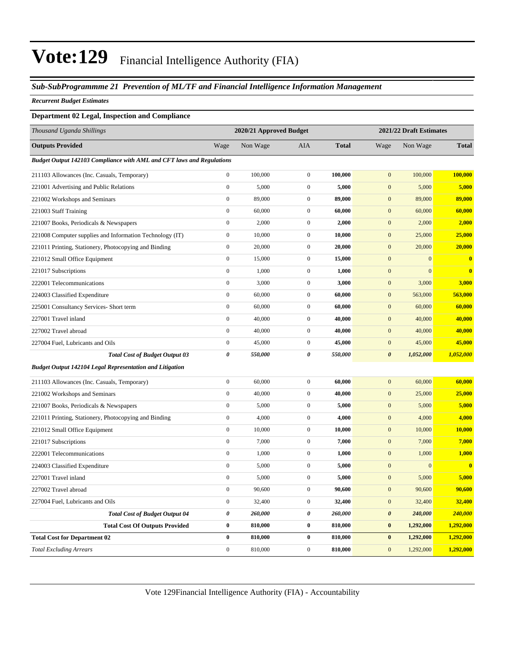#### *Sub-SubProgrammme 21 Prevention of ML/TF and Financial Intelligence Information Management*

*Recurrent Budget Estimates*

#### **Department 02 Legal, Inspection and Compliance**

| Thousand Uganda Shillings                                             |                  | 2020/21 Approved Budget |                  |              | 2021/22 Draft Estimates |              |              |
|-----------------------------------------------------------------------|------------------|-------------------------|------------------|--------------|-------------------------|--------------|--------------|
| <b>Outputs Provided</b>                                               | Wage             | Non Wage                | AIA              | <b>Total</b> | Wage                    | Non Wage     | <b>Total</b> |
| Budget Output 142103 Compliance with AML and CFT laws and Regulations |                  |                         |                  |              |                         |              |              |
| 211103 Allowances (Inc. Casuals, Temporary)                           | $\boldsymbol{0}$ | 100,000                 | $\boldsymbol{0}$ | 100,000      | $\mathbf{0}$            | 100,000      | 100,000      |
| 221001 Advertising and Public Relations                               | $\boldsymbol{0}$ | 5,000                   | $\mathbf{0}$     | 5,000        | $\boldsymbol{0}$        | 5,000        | 5,000        |
| 221002 Workshops and Seminars                                         | $\boldsymbol{0}$ | 89,000                  | $\mathbf{0}$     | 89,000       | $\mathbf{0}$            | 89,000       | 89,000       |
| 221003 Staff Training                                                 | $\boldsymbol{0}$ | 60,000                  | $\mathbf{0}$     | 60,000       | $\mathbf{0}$            | 60,000       | 60,000       |
| 221007 Books, Periodicals & Newspapers                                | $\overline{0}$   | 2,000                   | $\boldsymbol{0}$ | 2,000        | $\overline{0}$          | 2,000        | 2,000        |
| 221008 Computer supplies and Information Technology (IT)              | $\boldsymbol{0}$ | 10,000                  | $\mathbf{0}$     | 10,000       | $\boldsymbol{0}$        | 25,000       | 25,000       |
| 221011 Printing, Stationery, Photocopying and Binding                 | $\boldsymbol{0}$ | 20,000                  | $\mathbf{0}$     | 20,000       | $\mathbf{0}$            | 20,000       | 20,000       |
| 221012 Small Office Equipment                                         | $\boldsymbol{0}$ | 15,000                  | $\mathbf{0}$     | 15,000       | $\mathbf{0}$            | $\mathbf{0}$ | $\bf{0}$     |
| 221017 Subscriptions                                                  | $\boldsymbol{0}$ | 1,000                   | $\mathbf{0}$     | 1,000        | $\mathbf{0}$            | $\mathbf{0}$ | $\bf{0}$     |
| 222001 Telecommunications                                             | $\boldsymbol{0}$ | 3,000                   | $\boldsymbol{0}$ | 3,000        | $\mathbf{0}$            | 3,000        | 3,000        |
| 224003 Classified Expenditure                                         | $\boldsymbol{0}$ | 60,000                  | $\mathbf{0}$     | 60,000       | $\boldsymbol{0}$        | 563,000      | 563,000      |
| 225001 Consultancy Services- Short term                               | $\boldsymbol{0}$ | 60,000                  | $\mathbf{0}$     | 60,000       | $\boldsymbol{0}$        | 60,000       | 60,000       |
| 227001 Travel inland                                                  | $\boldsymbol{0}$ | 40,000                  | $\mathbf{0}$     | 40,000       | $\mathbf{0}$            | 40,000       | 40,000       |
| 227002 Travel abroad                                                  | $\overline{0}$   | 40,000                  | $\mathbf{0}$     | 40,000       | $\mathbf{0}$            | 40,000       | 40,000       |
| 227004 Fuel, Lubricants and Oils                                      | $\boldsymbol{0}$ | 45,000                  | $\boldsymbol{0}$ | 45,000       | $\boldsymbol{0}$        | 45,000       | 45,000       |
| <b>Total Cost of Budget Output 03</b>                                 | 0                | 550,000                 | $\pmb{\theta}$   | 550,000      | $\pmb{\theta}$          | 1,052,000    | 1,052,000    |
| Budget Output 142104 Legal Representation and Litigation              |                  |                         |                  |              |                         |              |              |
| 211103 Allowances (Inc. Casuals, Temporary)                           | $\boldsymbol{0}$ | 60,000                  | $\boldsymbol{0}$ | 60,000       | $\boldsymbol{0}$        | 60,000       | 60,000       |
| 221002 Workshops and Seminars                                         | $\boldsymbol{0}$ | 40,000                  | $\boldsymbol{0}$ | 40,000       | $\boldsymbol{0}$        | 25,000       | 25,000       |
| 221007 Books, Periodicals & Newspapers                                | $\boldsymbol{0}$ | 5,000                   | $\mathbf{0}$     | 5,000        | $\boldsymbol{0}$        | 5,000        | 5,000        |
| 221011 Printing, Stationery, Photocopying and Binding                 | $\boldsymbol{0}$ | 4,000                   | $\mathbf{0}$     | 4,000        | $\boldsymbol{0}$        | 4,000        | 4,000        |
| 221012 Small Office Equipment                                         | $\boldsymbol{0}$ | 10,000                  | $\mathbf{0}$     | 10,000       | $\boldsymbol{0}$        | 10,000       | 10,000       |
| 221017 Subscriptions                                                  | $\overline{0}$   | 7,000                   | $\mathbf{0}$     | 7,000        | $\mathbf{0}$            | 7,000        | 7,000        |
| 222001 Telecommunications                                             | $\boldsymbol{0}$ | 1,000                   | $\mathbf{0}$     | 1,000        | $\mathbf{0}$            | 1,000        | 1,000        |
| 224003 Classified Expenditure                                         | $\boldsymbol{0}$ | 5,000                   | $\boldsymbol{0}$ | 5,000        | $\mathbf{0}$            | $\mathbf{0}$ | $\bf{0}$     |
| 227001 Travel inland                                                  | $\boldsymbol{0}$ | 5,000                   | $\mathbf{0}$     | 5,000        | $\mathbf{0}$            | 5,000        | 5,000        |
| 227002 Travel abroad                                                  | $\overline{0}$   | 90,600                  | $\mathbf{0}$     | 90,600       | $\mathbf{0}$            | 90,600       | 90,600       |
| 227004 Fuel, Lubricants and Oils                                      | $\boldsymbol{0}$ | 32,400                  | $\boldsymbol{0}$ | 32,400       | $\boldsymbol{0}$        | 32,400       | 32,400       |
| <b>Total Cost of Budget Output 04</b>                                 | 0                | 260,000                 | 0                | 260,000      | $\pmb{\theta}$          | 240,000      | 240,000      |
| <b>Total Cost Of Outputs Provided</b>                                 | $\bf{0}$         | 810,000                 | $\bf{0}$         | 810,000      | $\pmb{0}$               | 1,292,000    | 1,292,000    |
| <b>Total Cost for Department 02</b>                                   | $\bf{0}$         | 810,000                 | $\bf{0}$         | 810,000      | $\bf{0}$                | 1,292,000    | 1,292,000    |
| <b>Total Excluding Arrears</b>                                        | $\boldsymbol{0}$ | 810,000                 | $\boldsymbol{0}$ | 810,000      | $\mathbf{0}$            | 1,292,000    | 1,292,000    |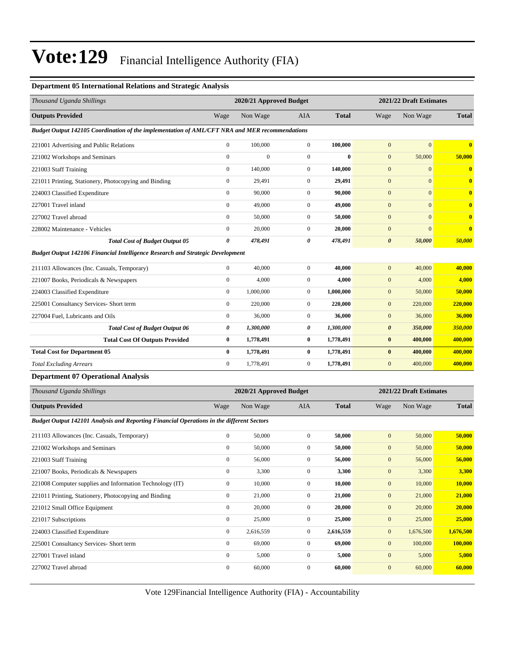#### **Department 05 International Relations and Strategic Analysis**

| Thousand Uganda Shillings                                                                        |                  | 2020/21 Approved Budget |                  |              |                         | 2021/22 Draft Estimates |                  |  |  |
|--------------------------------------------------------------------------------------------------|------------------|-------------------------|------------------|--------------|-------------------------|-------------------------|------------------|--|--|
| <b>Outputs Provided</b>                                                                          | Wage             | Non Wage                | AIA              | <b>Total</b> | Wage                    | Non Wage                | <b>Total</b>     |  |  |
| Budget Output 142105 Coordination of the implementation of AML/CFT NRA and MER recommendations   |                  |                         |                  |              |                         |                         |                  |  |  |
| 221001 Advertising and Public Relations                                                          | $\mathbf{0}$     | 100,000                 | $\mathbf{0}$     | 100,000      | $\mathbf{0}$            | $\mathbf{0}$            | $\bf{0}$         |  |  |
| 221002 Workshops and Seminars                                                                    | $\boldsymbol{0}$ | $\mathbf{0}$            | $\boldsymbol{0}$ | $\mathbf{0}$ | $\mathbf{0}$            | 50,000                  | 50,000           |  |  |
| 221003 Staff Training                                                                            | $\mathbf{0}$     | 140,000                 | $\boldsymbol{0}$ | 140,000      | $\mathbf{0}$            | $\boldsymbol{0}$        | $\boldsymbol{0}$ |  |  |
| 221011 Printing, Stationery, Photocopying and Binding                                            | $\mathbf{0}$     | 29,491                  | $\boldsymbol{0}$ | 29,491       | $\mathbf{0}$            | $\mathbf{0}$            | $\mathbf{0}$     |  |  |
| 224003 Classified Expenditure                                                                    | $\boldsymbol{0}$ | 90,000                  | $\boldsymbol{0}$ | 90,000       | $\boldsymbol{0}$        | $\overline{0}$          | $\bf{0}$         |  |  |
| 227001 Travel inland                                                                             | $\mathbf{0}$     | 49,000                  | $\boldsymbol{0}$ | 49,000       | $\mathbf{0}$            | $\mathbf{0}$            | $\bf{0}$         |  |  |
| 227002 Travel abroad                                                                             | $\boldsymbol{0}$ | 50,000                  | $\boldsymbol{0}$ | 50,000       | $\mathbf{0}$            | $\mathbf{0}$            | $\bf{0}$         |  |  |
| 228002 Maintenance - Vehicles                                                                    | $\boldsymbol{0}$ | 20,000                  | $\boldsymbol{0}$ | 20,000       | $\mathbf{0}$            | $\mathbf{0}$            | $\bf{0}$         |  |  |
| <b>Total Cost of Budget Output 05</b>                                                            | 0                | 478,491                 | 0                | 478,491      | $\boldsymbol{\theta}$   | 50,000                  | 50,000           |  |  |
| <b>Budget Output 142106 Financial Intelligence Research and Strategic Development</b>            |                  |                         |                  |              |                         |                         |                  |  |  |
| 211103 Allowances (Inc. Casuals, Temporary)                                                      | $\boldsymbol{0}$ | 40,000                  | $\boldsymbol{0}$ | 40,000       | $\mathbf{0}$            | 40,000                  | 40,000           |  |  |
| 221007 Books, Periodicals & Newspapers                                                           | $\boldsymbol{0}$ | 4,000                   | $\boldsymbol{0}$ | 4,000        | $\mathbf{0}$            | 4,000                   | 4,000            |  |  |
| 224003 Classified Expenditure                                                                    | $\boldsymbol{0}$ | 1,000,000               | $\boldsymbol{0}$ | 1,000,000    | $\mathbf{0}$            | 50,000                  | 50,000           |  |  |
| 225001 Consultancy Services- Short term                                                          | $\boldsymbol{0}$ | 220,000                 | $\boldsymbol{0}$ | 220,000      | $\mathbf{0}$            | 220,000                 | 220,000          |  |  |
| 227004 Fuel. Lubricants and Oils                                                                 | $\boldsymbol{0}$ | 36,000                  | $\boldsymbol{0}$ | 36,000       | $\mathbf{0}$            | 36,000                  | 36,000           |  |  |
| <b>Total Cost of Budget Output 06</b>                                                            | 0                | 1,300,000               | 0                | 1,300,000    | $\boldsymbol{\theta}$   | 350,000                 | 350,000          |  |  |
| <b>Total Cost Of Outputs Provided</b>                                                            | $\bf{0}$         | 1,778,491               | 0                | 1,778,491    | $\bf{0}$                | 400,000                 | 400,000          |  |  |
| <b>Total Cost for Department 05</b>                                                              | $\bf{0}$         | 1,778,491               | 0                | 1,778,491    | $\bf{0}$                | 400,000                 | 400,000          |  |  |
| <b>Total Excluding Arrears</b>                                                                   | $\boldsymbol{0}$ | 1,778,491               | $\boldsymbol{0}$ | 1,778,491    | $\mathbf{0}$            | 400,000                 | 400,000          |  |  |
| <b>Department 07 Operational Analysis</b>                                                        |                  |                         |                  |              |                         |                         |                  |  |  |
| Thousand Uganda Shillings                                                                        |                  | 2020/21 Approved Budget |                  |              | 2021/22 Draft Estimates |                         |                  |  |  |
| <b>Outputs Provided</b>                                                                          | Wage             | Non Wage                | AIA              | <b>Total</b> | Wage                    | Non Wage                | <b>Total</b>     |  |  |
| <b>Budget Output 142101 Analysis and Reporting Financial Operations in the different Sectors</b> |                  |                         |                  |              |                         |                         |                  |  |  |
| 211103 Allowances (Inc. Casuals, Temporary)                                                      | $\boldsymbol{0}$ | 50,000                  | $\mathbf{0}$     | 50,000       | $\mathbf{0}$            | 50,000                  | 50,000           |  |  |
| 221002 Workshops and Seminars                                                                    | $\boldsymbol{0}$ | 50,000                  | $\boldsymbol{0}$ | 50,000       | $\mathbf{0}$            | 50,000                  | 50,000           |  |  |
| 221003 Staff Training                                                                            | $\mathbf{0}$     | 56,000                  | $\boldsymbol{0}$ | 56,000       | $\mathbf{0}$            | 56,000                  | 56,000           |  |  |
| 221007 Books, Periodicals & Newspapers                                                           | $\boldsymbol{0}$ | 3,300                   | $\boldsymbol{0}$ | 3,300        | $\mathbf{0}$            | 3,300                   | 3,300            |  |  |
| 221008 Computer supplies and Information Technology (IT)                                         | $\boldsymbol{0}$ | 10,000                  | $\boldsymbol{0}$ | 10,000       | $\boldsymbol{0}$        | 10,000                  | <b>10,000</b>    |  |  |
| 221011 Printing, Stationery, Photocopying and Binding                                            | $\boldsymbol{0}$ | 21,000                  | $\boldsymbol{0}$ | 21,000       | $\boldsymbol{0}$        | 21,000                  | 21,000           |  |  |
| 221012 Small Office Equipment                                                                    | $\boldsymbol{0}$ | 20,000                  | $\boldsymbol{0}$ | 20,000       | $\boldsymbol{0}$        | 20,000                  | 20,000           |  |  |
| 221017 Subscriptions                                                                             | $\boldsymbol{0}$ | 25,000                  | $\boldsymbol{0}$ | 25,000       | $\boldsymbol{0}$        | 25,000                  | 25,000           |  |  |
| 224003 Classified Expenditure                                                                    | $\boldsymbol{0}$ | 2,616,559               | $\mathbf{0}$     | 2,616,559    | $\mathbf{0}$            | 1,676,500               | 1,676,500        |  |  |
| 225001 Consultancy Services- Short term                                                          | $\boldsymbol{0}$ | 69,000                  | $\boldsymbol{0}$ | 69,000       | $\boldsymbol{0}$        | 100,000                 | 100,000          |  |  |
| 227001 Travel inland                                                                             | $\boldsymbol{0}$ | 5,000                   | $\boldsymbol{0}$ | 5,000        | $\mathbf{0}$            | 5,000                   | 5,000            |  |  |
| 227002 Travel abroad                                                                             | $\boldsymbol{0}$ | 60,000                  | $\boldsymbol{0}$ | 60,000       | $\boldsymbol{0}$        | 60,000                  | 60,000           |  |  |
|                                                                                                  |                  |                         |                  |              |                         |                         |                  |  |  |